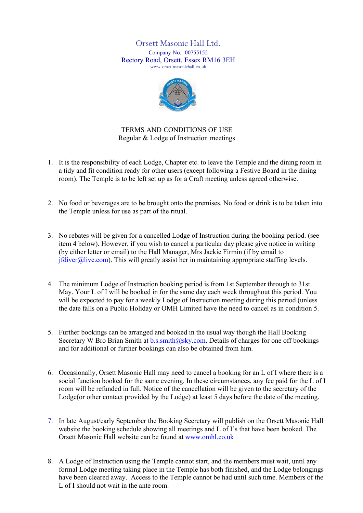Orsett Masonic Hall Ltd. Company No. 00755152 Rectory Road, Orsett, Essex RM16 3EH www.orsettmasonichall.co.uk



TERMS AND CONDITIONS OF USE Regular & Lodge of Instruction meetings

- 1. It is the responsibility of each Lodge, Chapter etc. to leave the Temple and the dining room in a tidy and fit condition ready for other users (except following a Festive Board in the dining room). The Temple is to be left set up as for a Craft meeting unless agreed otherwise.
- 2. No food or beverages are to be brought onto the premises. No food or drink is to be taken into the Temple unless for use as part of the ritual.
- 3. No rebates will be given for a cancelled Lodge of Instruction during the booking period. (see item 4 below). However, if you wish to cancel a particular day please give notice in writing (by either letter or email) to the Hall Manager, Mrs Jackie Firmin (if by email to  $ifdiver@live.com$ ). This will greatly assist her in maintaining appropriate staffing levels.
- 4. The minimum Lodge of Instruction booking period is from 1st September through to 31st May. Your L of I will be booked in for the same day each week throughout this period. You will be expected to pay for a weekly Lodge of Instruction meeting during this period (unless the date falls on a Public Holiday or OMH Limited have the need to cancel as in condition 5.
- 5. Further bookings can be arranged and booked in the usual way though the Hall Booking Secretary W Bro Brian Smith at b.s.smith@sky.com. Details of charges for one off bookings and for additional or further bookings can also be obtained from him.
- 6. Occasionally, Orsett Masonic Hall may need to cancel a booking for an L of I where there is a social function booked for the same evening. In these circumstances, any fee paid for the L of I room will be refunded in full. Notice of the cancellation will be given to the secretary of the Lodge(or other contact provided by the Lodge) at least 5 days before the date of the meeting.
- 7. In late August/early September the Booking Secretary will publish on the Orsett Masonic Hall website the booking schedule showing all meetings and L of I's that have been booked. The Orsett Masonic Hall website can be found at www.omhl.co.uk
- 8. A Lodge of Instruction using the Temple cannot start, and the members must wait, until any formal Lodge meeting taking place in the Temple has both finished, and the Lodge belongings have been cleared away. Access to the Temple cannot be had until such time. Members of the L of I should not wait in the ante room.